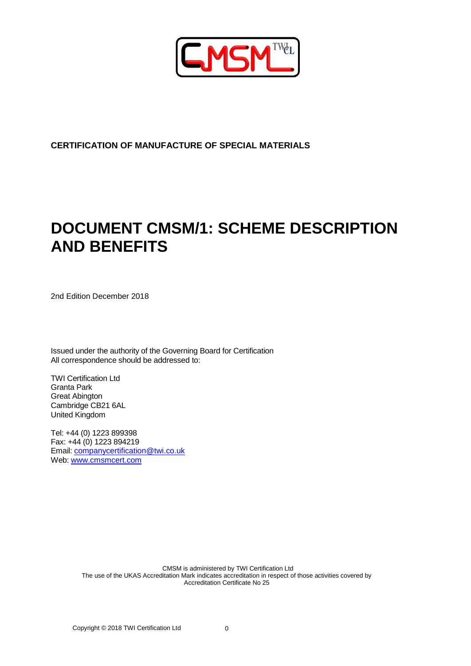

# **CERTIFICATION OF MANUFACTURE OF SPECIAL MATERIALS**

# **DOCUMENT CMSM/1: SCHEME DESCRIPTION AND BENEFITS**

2nd Edition December 2018

Issued under the authority of the Governing Board for Certification All correspondence should be addressed to:

TWI Certification Ltd Granta Park Great Abington Cambridge CB21 6AL United Kingdom

Tel: +44 (0) 1223 899398 Fax: +44 (0) 1223 894219 Email: [companycertification@twi.co.uk](mailto:companycertification@twi.co.uk) Web: www.cmsmcert.com

> CMSM is administered by TWI Certification Ltd The use of the UKAS Accreditation Mark indicates accreditation in respect of those activities covered by Accreditation Certificate No 25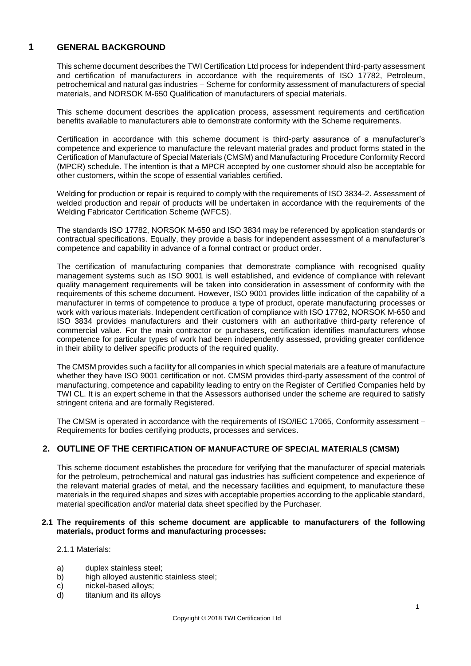## **1 GENERAL BACKGROUND**

This scheme document describes the TWI Certification Ltd process for independent third-party assessment and certification of manufacturers in accordance with the requirements of ISO 17782, Petroleum, petrochemical and natural gas industries – Scheme for conformity assessment of manufacturers of special materials, and NORSOK M-650 Qualification of manufacturers of special materials.

This scheme document describes the application process, assessment requirements and certification benefits available to manufacturers able to demonstrate conformity with the Scheme requirements.

Certification in accordance with this scheme document is third-party assurance of a manufacturer's competence and experience to manufacture the relevant material grades and product forms stated in the Certification of Manufacture of Special Materials (CMSM) and Manufacturing Procedure Conformity Record (MPCR) schedule. The intention is that a MPCR accepted by one customer should also be acceptable for other customers, within the scope of essential variables certified.

Welding for production or repair is required to comply with the requirements of ISO 3834-2. Assessment of welded production and repair of products will be undertaken in accordance with the requirements of the Welding Fabricator Certification Scheme (WFCS).

The standards ISO 17782, NORSOK M-650 and ISO 3834 may be referenced by application standards or contractual specifications. Equally, they provide a basis for independent assessment of a manufacturer's competence and capability in advance of a formal contract or product order.

The certification of manufacturing companies that demonstrate compliance with recognised quality management systems such as ISO 9001 is well established, and evidence of compliance with relevant quality management requirements will be taken into consideration in assessment of conformity with the requirements of this scheme document. However, ISO 9001 provides little indication of the capability of a manufacturer in terms of competence to produce a type of product, operate manufacturing processes or work with various materials. Independent certification of compliance with ISO 17782, NORSOK M-650 and ISO 3834 provides manufacturers and their customers with an authoritative third-party reference of commercial value. For the main contractor or purchasers, certification identifies manufacturers whose competence for particular types of work had been independently assessed, providing greater confidence in their ability to deliver specific products of the required quality.

The CMSM provides such a facility for all companies in which special materials are a feature of manufacture whether they have ISO 9001 certification or not. CMSM provides third-party assessment of the control of manufacturing, competence and capability leading to entry on the Register of Certified Companies held by TWI CL. It is an expert scheme in that the Assessors authorised under the scheme are required to satisfy stringent criteria and are formally Registered.

The CMSM is operated in accordance with the requirements of ISO/IEC 17065, Conformity assessment – Requirements for bodies certifying products, processes and services.

## **2. OUTLINE OF THE CERTIFICATION OF MANUFACTURE OF SPECIAL MATERIALS (CMSM)**

This scheme document establishes the procedure for verifying that the manufacturer of special materials for the petroleum, petrochemical and natural gas industries has sufficient competence and experience of the relevant material grades of metal, and the necessary facilities and equipment, to manufacture these materials in the required shapes and sizes with acceptable properties according to the applicable standard, material specification and/or material data sheet specified by the Purchaser.

## **2.1 The requirements of this scheme document are applicable to manufacturers of the following materials, product forms and manufacturing processes:**

2.1.1 Materials:

- a) duplex stainless steel;
- b) high alloyed austenitic stainless steel;
- c) nickel-based alloys;
- d) titanium and its alloys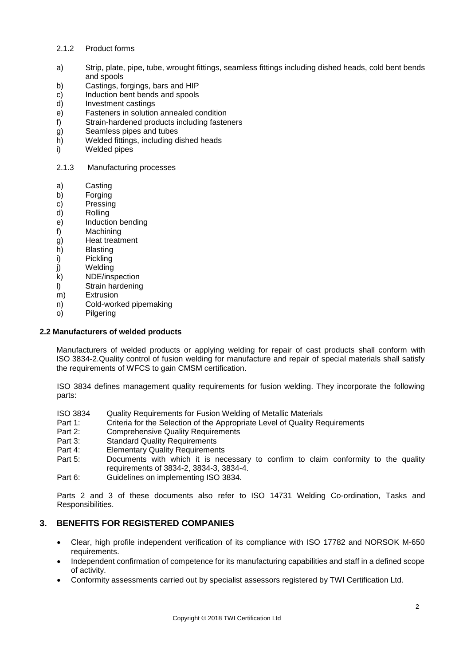## 2.1.2 Product forms

- a) Strip, plate, pipe, tube, wrought fittings, seamless fittings including dished heads, cold bent bends and spools
- b) Castings, forgings, bars and HIP
- c) Induction bent bends and spools
- d) Investment castings
- e) Fasteners in solution annealed condition
- f) Strain-hardened products including fasteners
- g) Seamless pipes and tubes
- h) Welded fittings, including dished heads
- i) Welded pipes
- 2.1.3 Manufacturing processes
- a) Casting
- b) Forging
- c) Pressing
- d) Rolling
- e) Induction bending
- f) Machining
- g) Heat treatment
- h) Blasting
- i) Pickling
- j) Welding
- k) NDE/inspection
- l) Strain hardening
- m) Extrusion
- n) Cold-worked pipemaking
- o) Pilgering

#### **2.2 Manufacturers of welded products**

Manufacturers of welded products or applying welding for repair of cast products shall conform with ISO 3834-2.Quality control of fusion welding for manufacture and repair of special materials shall satisfy the requirements of WFCS to gain CMSM certification.

ISO 3834 defines management quality requirements for fusion welding. They incorporate the following parts:

- ISO 3834 Quality Requirements for Fusion Welding of Metallic Materials
- Part 1: Criteria for the Selection of the Appropriate Level of Quality Requirements<br>Part 2: Comprehensive Quality Requirements
- **Comprehensive Quality Requirements**
- Part 3: Standard Quality Requirements
- Part 4: Elementary Quality Requirements
- Part 5: Documents with which it is necessary to confirm to claim conformity to the quality requirements of 3834-2, 3834-3, 3834-4.
- Part 6: Guidelines on implementing ISO 3834.

Parts 2 and 3 of these documents also refer to ISO 14731 Welding Co-ordination, Tasks and Responsibilities.

## **3. BENEFITS FOR REGISTERED COMPANIES**

- Clear, high profile independent verification of its compliance with ISO 17782 and NORSOK M-650 requirements.
- Independent confirmation of competence for its manufacturing capabilities and staff in a defined scope of activity.
- Conformity assessments carried out by specialist assessors registered by TWI Certification Ltd.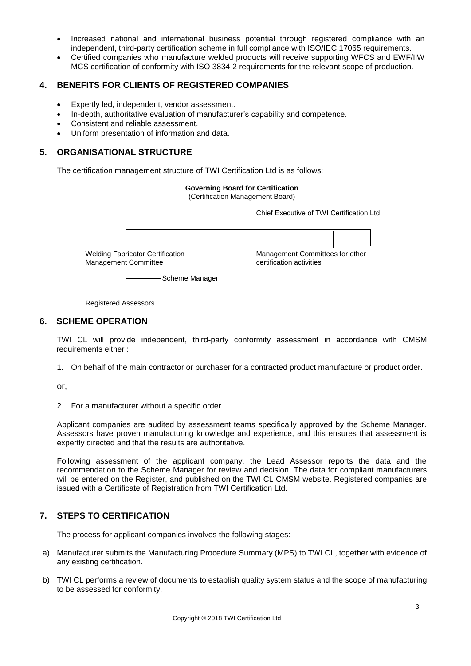- Increased national and international business potential through registered compliance with an independent, third-party certification scheme in full compliance with ISO/IEC 17065 requirements.
- Certified companies who manufacture welded products will receive supporting WFCS and EWF/IIW MCS certification of conformity with ISO 3834-2 requirements for the relevant scope of production.

# **4. BENEFITS FOR CLIENTS OF REGISTERED COMPANIES**

- Expertly led, independent, vendor assessment.
- In-depth, authoritative evaluation of manufacturer's capability and competence.
- Consistent and reliable assessment.
- Uniform presentation of information and data.

## **5. ORGANISATIONAL STRUCTURE**

The certification management structure of TWI Certification Ltd is as follows:



Registered Assessors

## **6. SCHEME OPERATION**

TWI CL will provide independent, third-party conformity assessment in accordance with CMSM requirements either :

1. On behalf of the main contractor or purchaser for a contracted product manufacture or product order.

or,

2. For a manufacturer without a specific order.

Applicant companies are audited by assessment teams specifically approved by the Scheme Manager. Assessors have proven manufacturing knowledge and experience, and this ensures that assessment is expertly directed and that the results are authoritative.

Following assessment of the applicant company, the Lead Assessor reports the data and the recommendation to the Scheme Manager for review and decision. The data for compliant manufacturers will be entered on the Register, and published on the TWI CL CMSM website. Registered companies are issued with a Certificate of Registration from TWI Certification Ltd.

# **7. STEPS TO CERTIFICATION**

The process for applicant companies involves the following stages:

- a) Manufacturer submits the Manufacturing Procedure Summary (MPS) to TWI CL, together with evidence of any existing certification.
- b) TWI CL performs a review of documents to establish quality system status and the scope of manufacturing to be assessed for conformity.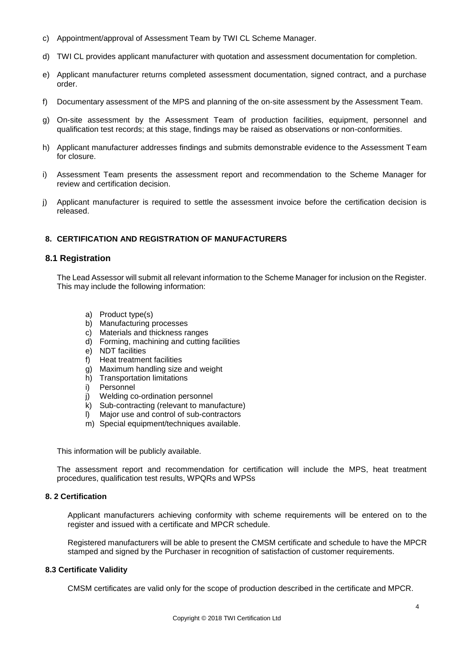- c) Appointment/approval of Assessment Team by TWI CL Scheme Manager.
- d) TWI CL provides applicant manufacturer with quotation and assessment documentation for completion.
- e) Applicant manufacturer returns completed assessment documentation, signed contract, and a purchase order.
- f) Documentary assessment of the MPS and planning of the on-site assessment by the Assessment Team.
- g) On-site assessment by the Assessment Team of production facilities, equipment, personnel and qualification test records; at this stage, findings may be raised as observations or non-conformities.
- h) Applicant manufacturer addresses findings and submits demonstrable evidence to the Assessment Team for closure.
- i) Assessment Team presents the assessment report and recommendation to the Scheme Manager for review and certification decision.
- j) Applicant manufacturer is required to settle the assessment invoice before the certification decision is released.

## **8. CERTIFICATION AND REGISTRATION OF MANUFACTURERS**

## **8.1 Registration**

The Lead Assessor will submit all relevant information to the Scheme Manager for inclusion on the Register. This may include the following information:

- a) Product type(s)
- b) Manufacturing processes
- c) Materials and thickness ranges
- d) Forming, machining and cutting facilities
- e) NDT facilities
- f) Heat treatment facilities
- g) Maximum handling size and weight
- h) Transportation limitations<br>i) Personnel
- Personnel
- j) Welding co-ordination personnel
- k) Sub-contracting (relevant to manufacture)
- l) Major use and control of sub-contractors
- m) Special equipment/techniques available.

This information will be publicly available.

The assessment report and recommendation for certification will include the MPS, heat treatment procedures, qualification test results, WPQRs and WPSs

#### **8. 2 Certification**

Applicant manufacturers achieving conformity with scheme requirements will be entered on to the register and issued with a certificate and MPCR schedule.

Registered manufacturers will be able to present the CMSM certificate and schedule to have the MPCR stamped and signed by the Purchaser in recognition of satisfaction of customer requirements.

#### **8.3 Certificate Validity**

CMSM certificates are valid only for the scope of production described in the certificate and MPCR.